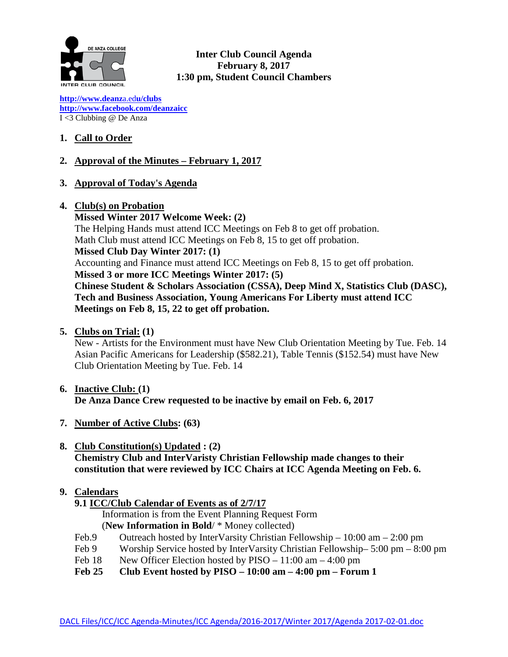

**Inter Club Council Agenda February 8, 2017 1:30 pm, Student Council Chambers**

**[http://www.deanz](http://www.deanza.edu/clubs)**[a.ed](http://www.deanza.edu/clubs)**[u/clubs](http://www.deanza.edu/clubs) [http://www.facebook.com/deanzaicc](http://www.facebook.com/home.php#!/group.php?gid=59034552686)** I <3 Clubbing @ De Anza

# **1. Call to Order**

# **2. Approval of the Minutes – February 1, 2017**

- **3. Approval of Today's Agenda**
- **4. Club(s) on Probation**

**Missed Winter 2017 Welcome Week: (2)** The Helping Hands must attend ICC Meetings on Feb 8 to get off probation. Math Club must attend ICC Meetings on Feb 8, 15 to get off probation. **Missed Club Day Winter 2017: (1)** Accounting and Finance must attend ICC Meetings on Feb 8, 15 to get off probation. **Missed 3 or more ICC Meetings Winter 2017: (5) Chinese Student & Scholars Association (CSSA), Deep Mind X, Statistics Club (DASC), Tech and Business Association, Young Americans For Liberty must attend ICC Meetings on Feb 8, 15, 22 to get off probation.**

**5. Clubs on Trial: (1)**

New - Artists for the Environment must have New Club Orientation Meeting by Tue. Feb. 14 Asian Pacific Americans for Leadership (\$582.21), Table Tennis (\$152.54) must have New Club Orientation Meeting by Tue. Feb. 14

- **6. Inactive Club: (1) De Anza Dance Crew requested to be inactive by email on Feb. 6, 2017**
- **7. Number of Active Clubs: (63)**
- **8. Club Constitution(s) Updated : (2) Chemistry Club and InterVaristy Christian Fellowship made changes to their constitution that were reviewed by ICC Chairs at ICC Agenda Meeting on Feb. 6.**
- **9. Calendars**
	- **9.1 ICC/Club Calendar of Events as of 2/7/17**

 Information is from the Event Planning Request Form (**New Information in Bold**/ \* Money collected)

- Feb.9 Outreach hosted by InterVarsity Christian Fellowship 10:00 am 2:00 pm
- Feb 9 Worship Service hosted by InterVarsity Christian Fellowship– 5:00 pm 8:00 pm
- Feb 18 New Officer Election hosted by PISO 11:00 am 4:00 pm
- **Feb 25 Club Event hosted by PISO – 10:00 am – 4:00 pm – Forum 1**